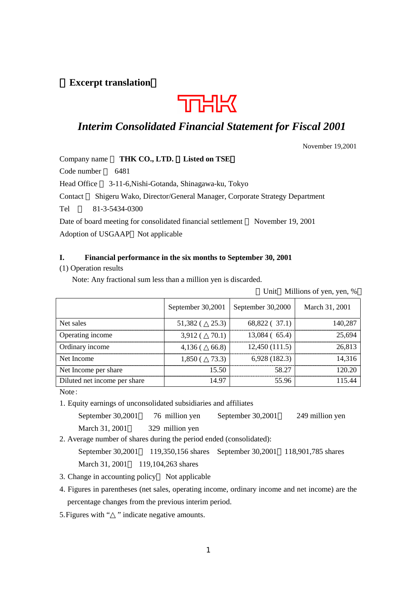## **Excerpt translation**



## *Interim Consolidated Financial Statement for Fiscal 2001*

November 19,2001

Company name **THK CO., LTD. Listed on TSE**

Code number 6481

Head Office 3-11-6,Nishi-Gotanda, Shinagawa-ku, Tokyo

Contact Shigeru Wako, Director/General Manager, Corporate Strategy Department

Tel 81-3-5434-0300

Date of board meeting for consolidated financial settlement November 19, 2001 Adoption of USGAAP Not applicable

## **I. Financial performance in the six months to September 30, 2001**

## (1) Operation results

Note: Any fractional sum less than a million yen is discarded.

| Unit Millions of yen, yen, % |  |  |
|------------------------------|--|--|
|                              |  |  |

|                              | September 30,2001   |       | September 30,2000 | March 31, 2001 |
|------------------------------|---------------------|-------|-------------------|----------------|
| Net sales                    | $51,382$ ( $25.3$ ) |       | 68,822 (37.1)     | 140.287        |
| Operating income             | 3,912 (             | 70.1) | $13,084$ (65.4)   | 25,694         |
| Ordinary income              | $4,136$ (           | 66.8) | 12,450(111.5)     | 26.813         |
| Net Income                   | 1.850 (             | 73.3) | 6,928(182.3)      | 14,316         |
| Net Income per share         |                     | 15.50 | 58.27             | 120.20         |
| Diluted net income per share |                     | 14.97 | 55.96             |                |

Note:

1. Equity earnings of unconsolidated subsidiaries and affiliates

September 30,2001 76 million yen September 30,2001 249 million yen

March 31, 2001 329 million yen

2. Average number of shares during the period ended (consolidated):

September 30,2001 119,350,156 shares September 30,2001 118,901,785 shares

March 31, 2001 119,104,263 shares

3. Change in accounting policy Not applicable

4. Figures in parentheses (net sales, operating income, ordinary income and net income) are the percentage changes from the previous interim period.

5. Figures with " " indicate negative amounts.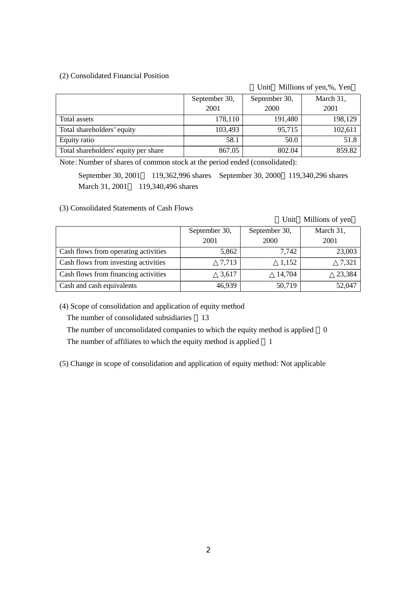## (2) Consolidated Financial Position

Unit Millions of yen,%, Yen

|                                      | September 30, | September 30, | March 31, |
|--------------------------------------|---------------|---------------|-----------|
|                                      | 2001          | 2000          | 2001      |
| Total assets                         | 178,110       | 191,480       | 198.129   |
| Total shareholders' equity           | 103,493       | 95,715        |           |
| Equity ratio                         | 58.1          |               |           |
| Total shareholders' equity per share | 867 05        | 802.04        |           |

Note:Number of shares of common stock at the period ended (consolidated):

September 30, 2001 119,362,996 shares September 30, 2000 119,340,296 shares March 31, 2001 119,340,496 shares

## (3) Consolidated Statements of Cash Flows

|                                      |               |               | Unit Millions of yen |
|--------------------------------------|---------------|---------------|----------------------|
|                                      | September 30, | September 30, | March 31,            |
|                                      | 2001          | 2000          | 2001                 |
| Cash flows from operating activities | 5,862         | 7.742         | 23,003               |
| Cash flows from investing activities | 7.713         | 1.152         | 7.321                |
| Cash flows from financing activities | 3.617         | 14.704        | 23.384               |
| Cash and cash equivalents            | 46.939        | 50.719        | 52,047               |

(4) Scope of consolidation and application of equity method

The number of consolidated subsidiaries 13

The number of unconsolidated companies to which the equity method is applied 0

The number of affiliates to which the equity method is applied 1

(5) Change in scope of consolidation and application of equity method: Not applicable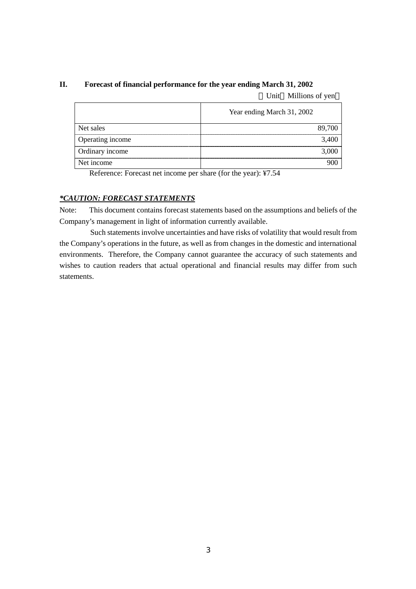## **II. Forecast of financial performance for the year ending March 31, 2002**

Unit Millions of yen

|                  | Year ending March 31, 2002 |
|------------------|----------------------------|
| Net sales        | 89.700                     |
| Operating income | 3.400                      |
| Ordinary income  | 3.000                      |
| Net income       |                            |

Reference: Forecast net income per share (for the year): ¥7.54

## *\*CAUTION: FORECAST STATEMENTS*

Note: This document contains forecast statements based on the assumptions and beliefs of the Company's management in light of information currently available.

Such statements involve uncertainties and have risks of volatility that would result from the Company's operations in the future, as well as from changes in the domestic and international environments. Therefore, the Company cannot guarantee the accuracy of such statements and wishes to caution readers that actual operational and financial results may differ from such statements.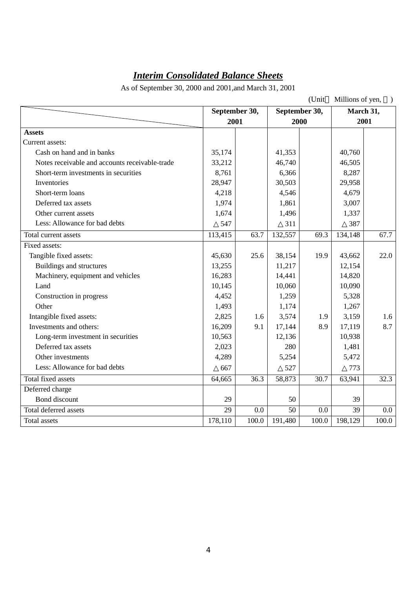# *Interim Consolidated Balance Sheets*

As of September 30, 2000 and 2001,and March 31, 2001

|                                                |               |              |         | (Unit         | Millions of yen, |           |
|------------------------------------------------|---------------|--------------|---------|---------------|------------------|-----------|
|                                                | September 30, |              |         | September 30, |                  | March 31, |
|                                                |               | 2001<br>2000 |         | 2001          |                  |           |
| <b>Assets</b>                                  |               |              |         |               |                  |           |
| Current assets:                                |               |              |         |               |                  |           |
| Cash on hand and in banks                      | 35,174        |              | 41,353  |               | 40,760           |           |
| Notes receivable and accounts receivable-trade | 33,212        |              | 46,740  |               | 46,505           |           |
| Short-term investments in securities           | 8,761         |              | 6,366   |               | 8,287            |           |
| Inventories                                    | 28,947        |              | 30,503  |               | 29,958           |           |
| Short-term loans                               | 4,218         |              | 4,546   |               | 4,679            |           |
| Deferred tax assets                            | 1,974         |              | 1,861   |               | 3,007            |           |
| Other current assets                           | 1,674         |              | 1,496   |               | 1,337            |           |
| Less: Allowance for bad debts                  | 547           |              | 311     |               | 387              |           |
| Total current assets                           | 113,415       | 63.7         | 132,557 | 69.3          | 134,148          | 67.7      |
| Fixed assets:                                  |               |              |         |               |                  |           |
| Tangible fixed assets:                         | 45,630        | 25.6         | 38,154  | 19.9          | 43,662           | 22.0      |
| Buildings and structures                       | 13,255        |              | 11,217  |               | 12,154           |           |
| Machinery, equipment and vehicles              | 16,283        |              | 14,441  |               | 14,820           |           |
| Land                                           | 10,145        |              | 10,060  |               | 10,090           |           |
| Construction in progress                       | 4,452         |              | 1,259   |               | 5,328            |           |
| Other                                          | 1,493         |              | 1,174   |               | 1,267            |           |
| Intangible fixed assets:                       | 2,825         | 1.6          | 3,574   | 1.9           | 3,159            | 1.6       |
| Investments and others:                        | 16,209        | 9.1          | 17,144  | 8.9           | 17,119           | 8.7       |
| Long-term investment in securities             | 10,563        |              | 12,136  |               | 10,938           |           |
| Deferred tax assets                            | 2,023         |              | 280     |               | 1,481            |           |
| Other investments                              | 4,289         |              | 5,254   |               | 5,472            |           |
| Less: Allowance for bad debts                  | 667           |              | 527     |               | 773              |           |
| Total fixed assets                             | 64,665        | 36.3         | 58,873  | 30.7          | 63,941           | 32.3      |
| Deferred charge                                |               |              |         |               |                  |           |
| Bond discount                                  | 29            |              | 50      |               | 39               |           |
| Total deferred assets                          | 29            | 0.0          | 50      | 0.0           | 39               | $0.0\,$   |
| <b>Total</b> assets                            | 178,110       | 100.0        | 191,480 | 100.0         | 198,129          | 100.0     |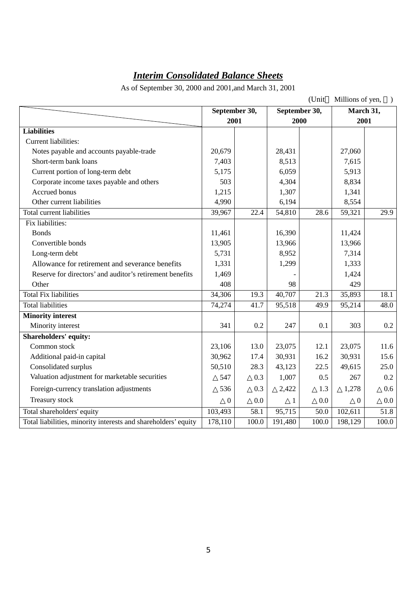# *Interim Consolidated Balance Sheets*

As of September 30, 2000 and 2001,and March 31, 2001

|                                                                |               |       |               | (Unit             | Millions of yen, |       |
|----------------------------------------------------------------|---------------|-------|---------------|-------------------|------------------|-------|
|                                                                | September 30, |       | September 30, |                   | March 31,        |       |
|                                                                | 2001          |       | 2000          |                   | 2001             |       |
| <b>Liabilities</b>                                             |               |       |               |                   |                  |       |
| Current liabilities:                                           |               |       |               |                   |                  |       |
| Notes payable and accounts payable-trade                       | 20,679        |       | 28,431        |                   | 27,060           |       |
| Short-term bank loans                                          | 7,403         |       | 8,513         |                   | 7,615            |       |
| Current portion of long-term debt                              | 5,175         |       | 6,059         |                   | 5,913            |       |
| Corporate income taxes payable and others                      | 503           |       | 4,304         |                   | 8,834            |       |
| Accrued bonus                                                  | 1,215         |       | 1,307         |                   | 1,341            |       |
| Other current liabilities                                      | 4,990         |       | 6,194         |                   | 8,554            |       |
| Total current liabilities                                      | 39,967        | 22.4  | 54,810        | 28.6              | 59,321           | 29.9  |
| Fix liabilities:                                               |               |       |               |                   |                  |       |
| <b>Bonds</b>                                                   | 11,461        |       | 16,390        |                   | 11,424           |       |
| Convertible bonds                                              | 13,905        |       | 13,966        |                   | 13,966           |       |
| Long-term debt                                                 | 5,731         |       | 8,952         |                   | 7,314            |       |
| Allowance for retirement and severance benefits                | 1,331         |       | 1,299         |                   | 1,333            |       |
| Reserve for directors' and auditor's retirement benefits       | 1,469         |       |               |                   | 1,424            |       |
| Other                                                          | 408           |       | 98            |                   | 429              |       |
| <b>Total Fix liabilities</b>                                   | 34,306        | 19.3  | 40,707        | $\overline{21.3}$ | 35,893           | 18.1  |
| <b>Total liabilities</b>                                       | 74,274        | 41.7  | 95,518        | 49.9              | 95,214           | 48.0  |
| <b>Minority interest</b>                                       |               |       |               |                   |                  |       |
| Minority interest                                              | 341           | 0.2   | 247           | 0.1               | 303              | 0.2   |
| <b>Shareholders' equity:</b>                                   |               |       |               |                   |                  |       |
| Common stock                                                   | 23,106        | 13.0  | 23,075        | 12.1              | 23,075           | 11.6  |
| Additional paid-in capital                                     | 30,962        | 17.4  | 30,931        | 16.2              | 30,931           | 15.6  |
| Consolidated surplus                                           | 50,510        | 28.3  | 43,123        | 22.5              | 49,615           | 25.0  |
| Valuation adjustment for marketable securities                 | 547           | 0.3   | 1,007         | 0.5               | 267              | 0.2   |
| Foreign-currency translation adjustments                       | 536           | 0.3   | 2,422         | 1.3               | 1,278            | 0.6   |
| Treasury stock                                                 | $\mathbf{0}$  | 0.0   | 1             | 0.0               | $\boldsymbol{0}$ | 0.0   |
| Total shareholders' equity                                     | 103,493       | 58.1  | 95,715        | 50.0              | 102,611          | 51.8  |
| Total liabilities, minority interests and shareholders' equity | 178,110       | 100.0 | 191,480       | 100.0             | 198,129          | 100.0 |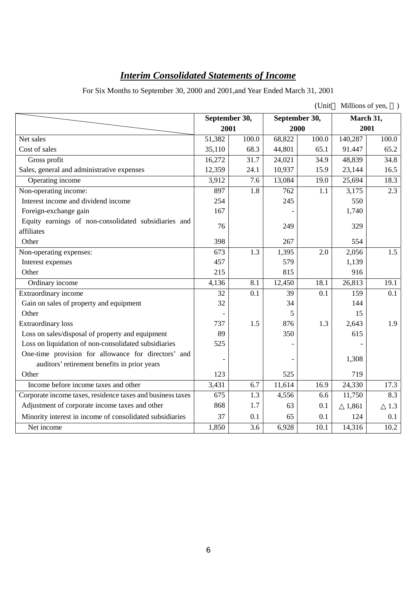# *Interim Consolidated Statements of Income*

For Six Months to September 30, 2000 and 2001,and Year Ended March 31, 2001

|                                                            |                  |                  |               | (Unit | Millions of yen, |                  |
|------------------------------------------------------------|------------------|------------------|---------------|-------|------------------|------------------|
|                                                            | September 30,    |                  | September 30, |       | March 31,        |                  |
|                                                            | 2001             |                  | 2000          |       | 2001             |                  |
| Net sales                                                  | 51,382           | 100.0            | 68,822        | 100.0 | 140,287          | 100.0            |
| Cost of sales                                              | 35,110           | 68.3             | 44,801        | 65.1  | 91.447           | 65.2             |
| Gross profit                                               | 16,272           | 31.7             | 24,021        | 34.9  | 48,839           | 34.8             |
| Sales, general and administrative expenses                 | 12,359           | 24.1             | 10,937        | 15.9  | 23,144           | 16.5             |
| Operating income                                           | 3,912            | 7.6              | 13,084        | 19.0  | 25,694           | 18.3             |
| Non-operating income:                                      | 897              | 1.8              | 762           | 1.1   | 3,175            | $\overline{2.3}$ |
| Interest income and dividend income                        | 254              |                  | 245           |       | 550              |                  |
| Foreign-exchange gain                                      | 167              |                  |               |       | 1,740            |                  |
| Equity earnings of non-consolidated subsidiaries and       | 76               |                  | 249           |       | 329              |                  |
| affiliates                                                 |                  |                  |               |       |                  |                  |
| Other                                                      | 398              |                  | 267           |       | 554              |                  |
| Non-operating expenses:                                    | $\overline{673}$ | 1.3              | 1,395         | 2.0   | 2,056            | 1.5              |
| Interest expenses                                          | 457              |                  | 579           |       | 1,139            |                  |
| Other                                                      | 215              |                  | 815           |       | 916              |                  |
| Ordinary income                                            | 4,136            | 8.1              | 12,450        | 18.1  | 26,813           | 19.1             |
| Extraordinary income                                       | 32               | 0.1              | 39            | 0.1   | 159              | 0.1              |
| Gain on sales of property and equipment                    | 32               |                  | 34            |       | 144              |                  |
| Other                                                      |                  |                  | 5             |       | 15               |                  |
| <b>Extraordinary</b> loss                                  | 737              | 1.5              | 876           | 1.3   | 2,643            | 1.9              |
| Loss on sales/disposal of property and equipment           | 89               |                  | 350           |       | 615              |                  |
| Loss on liquidation of non-consolidated subsidiaries       | 525              |                  |               |       |                  |                  |
| One-time provision for allowance for directors' and        |                  |                  |               |       | 1,308            |                  |
| auditors' retirement benefits in prior years               |                  |                  |               |       |                  |                  |
| Other                                                      | 123              |                  | 525           |       | 719              |                  |
| Income before income taxes and other                       | 3,431            | 6.7              | 11,614        | 16.9  | 24,330           | 17.3             |
| Corporate income taxes, residence taxes and business taxes | 675              | 1.3              | 4,556         | 6.6   | 11,750           | 8.3              |
| Adjustment of corporate income taxes and other             | 868              | 1.7              | 63            | 0.1   | 1,861            | 1.3              |
| Minority interest in income of consolidated subsidiaries   | 37               | 0.1              | 65            | 0.1   | 124              | 0.1              |
| Net income                                                 | 1,850            | $\overline{3.6}$ | 6,928         | 10.1  | 14,316           | 10.2             |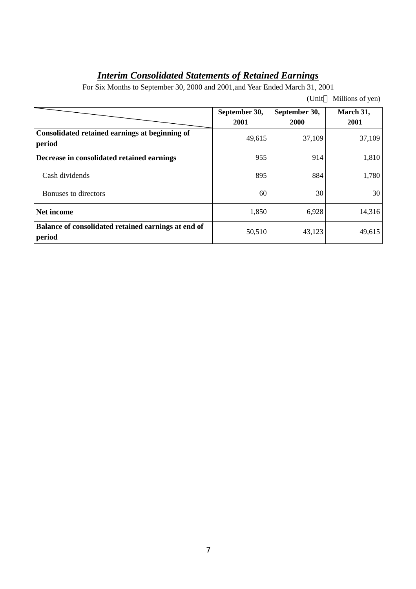# *Interim Consolidated Statements of Retained Earnings*

For Six Months to September 30, 2000 and 2001,and Year Ended March 31, 2001

|                                                               | September 30,<br>2001 | September 30,<br><b>2000</b> | March 31,<br>2001 |
|---------------------------------------------------------------|-----------------------|------------------------------|-------------------|
| Consolidated retained earnings at beginning of<br>period      | 49,615                | 37,109                       | 37,109            |
| Decrease in consolidated retained earnings                    | 955                   | 914                          | 1,810             |
| Cash dividends                                                | 895                   | 884                          | 1,780             |
| Bonuses to directors                                          | 60                    | 30                           | 30                |
| Net income                                                    | 1,850                 | 6,928                        | 14,316            |
| Balance of consolidated retained earnings at end of<br>period | 50,510                | 43,123                       | 49,615            |

(Unit Millions of yen)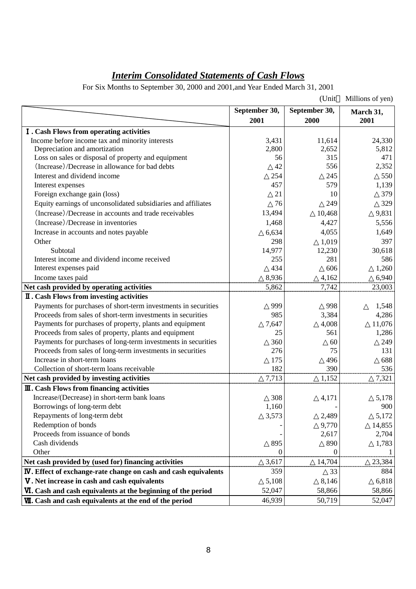# *Interim Consolidated Statements of Cash Flows*

For Six Months to September 30, 2000 and 2001,and Year Ended March 31, 2001

|                                                                        |               | (Unit         | Millions of yen) |
|------------------------------------------------------------------------|---------------|---------------|------------------|
|                                                                        | September 30, | September 30, | March 31,        |
|                                                                        | 2001          | 2000          | 2001             |
| <b>I</b> . Cash Flows from operating activities                        |               |               |                  |
| Income before income tax and minority interests                        | 3,431         | 11,614        | 24,330           |
| Depreciation and amortization                                          | 2,800         | 2,652         | 5,812            |
| Loss on sales or disposal of property and equipment                    | 56            | 315           | 471              |
| (Increase)/Decrease in allowance for bad debts                         | 42            | 556           | 2,352            |
| Interest and dividend income                                           | 254           | 245           | 550              |
| Interest expenses                                                      | 457           | 579           | 1,139            |
| Foreign exchange gain (loss)                                           | 21            | 10            | 379              |
| Equity earnings of unconsolidated subsidiaries and affiliates          | 76            | 249           | 329              |
| (Increase)/Decrease in accounts and trade receivables                  | 13,494        | 10,468        | 9,831            |
| (Increase)/Decrease in inventories                                     | 1,468         | 4,427         | 5,556            |
| Increase in accounts and notes payable                                 | 6,634         | 4,055         | 1,649            |
| Other                                                                  | 298           | 1,019         | 397              |
| Subtotal                                                               | 14,977        | 12,230        | 30,618           |
| Interest income and dividend income received                           | 255           | 281           | 586              |
| Interest expenses paid                                                 | 434           | 606           | 1,260            |
| Income taxes paid                                                      | 8,936         | 4,162         | 6,940            |
| Net cash provided by operating activities                              | 5,862         | 7,742         | 23,003           |
| <b>II</b> . Cash Flows from investing activities                       |               |               |                  |
| Payments for purchases of short-term investments in securities         | 999           | 998           | 1,548            |
| Proceeds from sales of short-term investments in securities            | 985           | 3,384         | 4,286            |
| Payments for purchases of property, plants and equipment               | 7,647         | 4,008         | 11,076           |
| Proceeds from sales of property, plants and equipment                  | 25            | 561           | 1,286            |
| Payments for purchases of long-term investments in securities          | 360           | 60            | 249              |
| Proceeds from sales of long-term investments in securities             | 276           | 75            | 131              |
| Increase in short-term loans                                           | 175           | 496           | 688              |
| Collection of short-term loans receivable                              | 182           | 390           | 536              |
| Net cash provided by investing activities                              | 7,713         | 1,152         | 7,321            |
| <b>III.</b> Cash Flows from financing activities                       |               |               |                  |
| Increase/(Decrease) in short-term bank loans                           | 308           | 4,171         | 5,178            |
| Borrowings of long-term debt                                           | 1,160         |               | 900              |
| Repayments of long-term debt                                           | 3,573         | 2,489         | 5,172            |
| Redemption of bonds                                                    |               | 9,770         | 14,855           |
| Proceeds from issuance of bonds                                        |               | 2,617         | 2,704            |
| Cash dividends                                                         | 895           | 890           | 1,783            |
| Other                                                                  | $\Omega$      | $\theta$      |                  |
| Net cash provided by (used for) financing activities                   | 3,617         | 14,704        | 23,384           |
| <b>IV.</b> Effect of exchange-rate change on cash and cash equivalents | 359           | 33            | 884              |
| V. Net increase in cash and cash equivalents                           | 5,108         | 8,146         | 6,818            |
| VI. Cash and cash equivalents at the beginning of the period           | 52,047        | 58,866        | 58,866           |
| VII. Cash and cash equivalents at the end of the period                | 46,939        | 50,719        | 52,047           |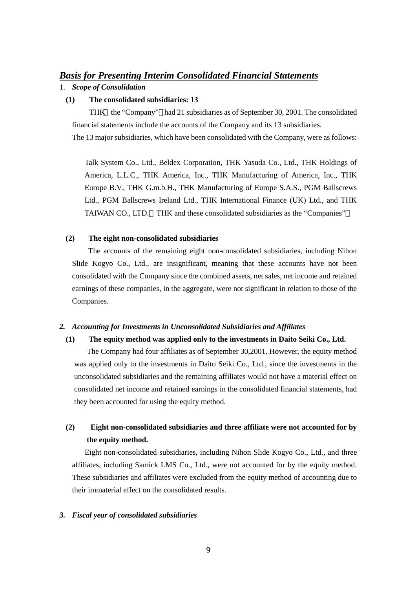## *Basis for Presenting Interim Consolidated Financial Statements*

## 1. *Scope of Consolidation*

## **(1) The consolidated subsidiaries: 13**

THK the "Company" had 21 subsidiaries as of September 30, 2001. The consolidated financial statements include the accounts of the Company and its 13 subsidiaries.

The 13 major subsidiaries, which have been consolidated with the Company, were as follows:

Talk System Co., Ltd., Beldex Corporation, THK Yasuda Co., Ltd., THK Holdings of America, L.L.C., THK America, Inc., THK Manufacturing of America, Inc., THK Europe B.V., THK G.m.b.H., THK Manufacturing of Europe S.A.S., PGM Ballscrews Ltd., PGM Ballscrews Ireland Ltd., THK International Finance (UK) Ltd., and THK TAIWAN CO., LTD. THK and these consolidated subsidiaries as the "Companies"

## **(2) The eight non-consolidated subsidiaries**

 The accounts of the remaining eight non-consolidated subsidiaries, including Nihon Slide Kogyo Co., Ltd., are insignificant, meaning that these accounts have not been consolidated with the Company since the combined assets, net sales, net income and retained earnings of these companies, in the aggregate, were not significant in relation to those of the Companies.

## *2. Accounting for Investments in Unconsolidated Subsidiaries and Affiliates*

## **(1) The equity method was applied only to the investments in Daito Seiki Co., Ltd.**

The Company had four affiliates as of September 30,2001. However, the equity method was applied only to the investments in Daito Seiki Co., Ltd., since the investments in the unconsolidated subsidiaries and the remaining affiliates would not have a material effect on consolidated net income and retained earnings in the consolidated financial statements, had they been accounted for using the equity method.

## **(2) Eight non-consolidated subsidiaries and three affiliate were not accounted for by the equity method.**

Eight non-consolidated subsidiaries, including Nihon Slide Kogyo Co., Ltd., and three affiliates, including Samick LMS Co., Ltd., were not accounted for by the equity method. These subsidiaries and affiliates were excluded from the equity method of accounting due to their immaterial effect on the consolidated results.

## *3. Fiscal year of consolidated subsidiaries*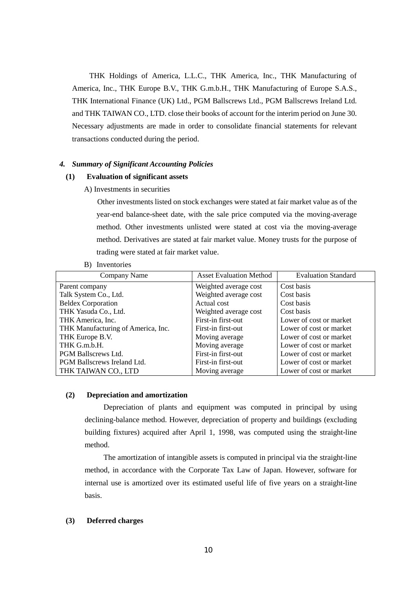THK Holdings of America, L.L.C., THK America, Inc., THK Manufacturing of America, Inc., THK Europe B.V., THK G.m.b.H., THK Manufacturing of Europe S.A.S., THK International Finance (UK) Ltd., PGM Ballscrews Ltd., PGM Ballscrews Ireland Ltd. and THK TAIWAN CO., LTD. close their books of account for the interim period on June 30. Necessary adjustments are made in order to consolidate financial statements for relevant transactions conducted during the period.

## *4. Summary of Significant Accounting Policies*

### **(1) Evaluation of significant assets**

A) Investments in securities

Other investments listed on stock exchanges were stated at fair market value as of the year-end balance-sheet date, with the sale price computed via the moving-average method. Other investments unlisted were stated at cost via the moving-average method. Derivatives are stated at fair market value. Money trusts for the purpose of trading were stated at fair market value.

B) Inventories

| Company Name                       | <b>Asset Evaluation Method</b> | <b>Evaluation Standard</b> |
|------------------------------------|--------------------------------|----------------------------|
| Parent company                     | Weighted average cost          | Cost basis                 |
| Talk System Co., Ltd.              | Weighted average cost          | Cost basis                 |
| <b>Beldex Corporation</b>          | Actual cost                    | Cost basis                 |
| THK Yasuda Co., Ltd.               | Weighted average cost          | Cost basis                 |
| THK America, Inc.                  | First-in first-out             | Lower of cost or market    |
| THK Manufacturing of America, Inc. | First-in first-out             | Lower of cost or market    |
| THK Europe B.V.                    | Moving average                 | Lower of cost or market    |
| THK G.m.b.H.                       | Moving average                 | Lower of cost or market    |
| PGM Ballscrews Ltd.                | First-in first-out             | Lower of cost or market    |
| PGM Ballscrews Ireland Ltd.        | First-in first-out             | Lower of cost or market    |
| THK TAIWAN CO., LTD                | Moving average                 | Lower of cost or market    |

### **(2) Depreciation and amortization**

Depreciation of plants and equipment was computed in principal by using declining-balance method. However, depreciation of property and buildings (excluding building fixtures) acquired after April 1, 1998, was computed using the straight-line method.

The amortization of intangible assets is computed in principal via the straight-line method, in accordance with the Corporate Tax Law of Japan. However, software for internal use is amortized over its estimated useful life of five years on a straight-line basis.

### **(3) Deferred charges**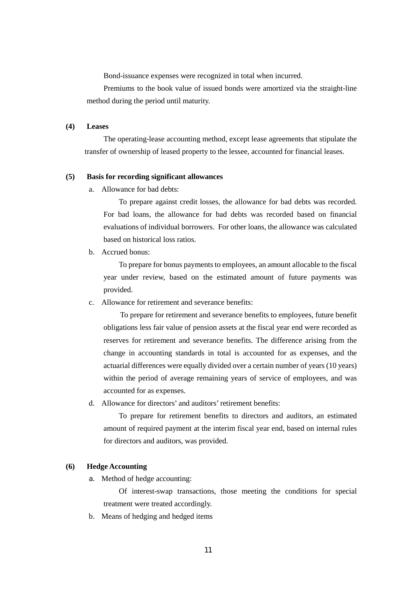Bond-issuance expenses were recognized in total when incurred.

Premiums to the book value of issued bonds were amortized via the straight-line method during the period until maturity.

### **(4) Leases**

The operating-lease accounting method, except lease agreements that stipulate the transfer of ownership of leased property to the lessee, accounted for financial leases.

### **(5) Basis for recording significant allowances**

a. Allowance for bad debts:

To prepare against credit losses, the allowance for bad debts was recorded. For bad loans, the allowance for bad debts was recorded based on financial evaluations of individual borrowers. For other loans, the allowance was calculated based on historical loss ratios.

b. Accrued bonus:

To prepare for bonus payments to employees, an amount allocable to the fiscal year under review, based on the estimated amount of future payments was provided.

c. Allowance for retirement and severance benefits:

To prepare for retirement and severance benefits to employees, future benefit obligations less fair value of pension assets at the fiscal year end were recorded as reserves for retirement and severance benefits. The difference arising from the change in accounting standards in total is accounted for as expenses, and the actuarial differences were equally divided over a certain number of years (10 years) within the period of average remaining years of service of employees, and was accounted for as expenses.

d. Allowance for directors' and auditors' retirement benefits:

To prepare for retirement benefits to directors and auditors, an estimated amount of required payment at the interim fiscal year end, based on internal rules for directors and auditors, was provided.

### **(6) Hedge Accounting**

a. Method of hedge accounting:

Of interest-swap transactions, those meeting the conditions for special treatment were treated accordingly.

b. Means of hedging and hedged items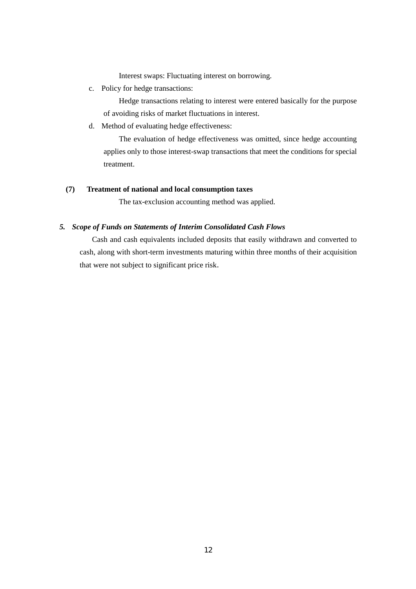Interest swaps: Fluctuating interest on borrowing.

c. Policy for hedge transactions:

Hedge transactions relating to interest were entered basically for the purpose of avoiding risks of market fluctuations in interest.

d. Method of evaluating hedge effectiveness:

The evaluation of hedge effectiveness was omitted, since hedge accounting applies only to those interest-swap transactions that meet the conditions for special treatment.

## **(7) Treatment of national and local consumption taxes**

The tax-exclusion accounting method was applied.

## *5. Scope of Funds on Statements of Interim Consolidated Cash Flows*

Cash and cash equivalents included deposits that easily withdrawn and converted to cash, along with short-term investments maturing within three months of their acquisition that were not subject to significant price risk.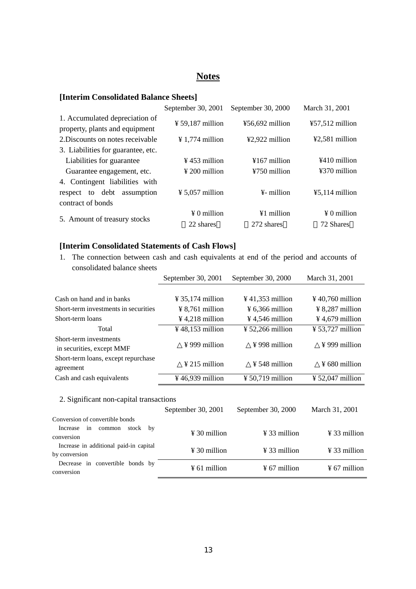## **Notes**

## **[Interim Consolidated Balance Sheets]**

|                                                                  | September 30, 2001           | September 30, 2000      | March 31, 2001     |
|------------------------------------------------------------------|------------------------------|-------------------------|--------------------|
| 1. Accumulated depreciation of<br>property, plants and equipment | $\frac{1}{2}$ 59,187 million | $456,692$ million       | $457,512$ million  |
| 2. Discounts on notes receivable                                 | $\frac{1}{2}$ 1,774 million  | ¥2,922 million          | $42,581$ million   |
| 3. Liabilities for guarantee, etc.                               |                              |                         |                    |
| Liabilities for guarantee                                        | $\frac{1}{2}$ 453 million    | $4167$ million          | $4410$ million     |
| Guarantee engagement, etc.                                       | $\frac{1}{2}$ 200 million    | ¥750 million            | $4370$ million     |
| 4. Contingent liabilities with                                   |                              |                         |                    |
| respect to debt assumption                                       | $\frac{1}{2}$ 5,057 million  | $\frac{1}{2}$ - million | $45,114$ million   |
| contract of bonds                                                |                              |                         |                    |
|                                                                  | $\angle 0$ million           | $\angle 1$ million      | $\angle 0$ million |
| 5. Amount of treasury stocks                                     | 22 shares                    | 272 shares              | 72 Shares          |

## **[Interim Consolidated Statements of Cash Flows]**

1. The connection between cash and cash equivalents at end of the period and accounts of consolidated balance sheets

|                                                     | September 30, 2001           | September 30, 2000           | March 31, 2001               |
|-----------------------------------------------------|------------------------------|------------------------------|------------------------------|
|                                                     |                              |                              |                              |
| Cash on hand and in banks                           | $\frac{1}{2}$ 35,174 million | $\frac{1}{2}$ 41,353 million | $\frac{1}{2}$ 40.760 million |
| Short-term investments in securities                | $\frac{1}{2}$ 8.761 million  | $\frac{1}{2}$ 6,366 million  | $\frac{1}{2}$ 8.287 million  |
| Short-term loans                                    | $\frac{1}{2}$ 4,218 million  | $\frac{1}{2}$ 4,546 million  | $\frac{1}{2}$ 4,679 million  |
| Total                                               | $\frac{1}{2}$ 48.153 million | $\frac{1}{2}$ 52,266 million | $\frac{1}{2}$ 53,727 million |
| Short-term investments<br>in securities, except MMF | $\frac{1}{2}$ 999 million    | $\frac{1}{2}$ 998 million    | $\frac{1}{2}$ 999 million    |
| Short-term loans, except repurchase<br>agreement    | $\frac{1}{2}$ 215 million    | $\frac{1}{2}$ 548 million    | $\frac{1}{2}$ 680 million    |
| Cash and cash equivalents                           | $\frac{1}{2}$ 46,939 million | $\frac{1}{2}$ 50,719 million | $\frac{1}{2}$ 52,047 million |
|                                                     |                              |                              |                              |

## 2. Significant non-capital transactions

|                                                         | September 30, 2001       | September 30, 2000       | March 31, 2001           |
|---------------------------------------------------------|--------------------------|--------------------------|--------------------------|
| Conversion of convertible bonds                         |                          |                          |                          |
| stock by<br>Increase in<br>common<br>conversion         | $\frac{1}{2}$ 30 million | $\frac{1}{2}$ 33 million | $\frac{1}{2}$ 33 million |
| Increase in additional paid-in capital<br>by conversion | $\frac{1}{2}$ 30 million | $\frac{1}{2}$ 33 million | $\frac{1}{2}$ 33 million |
| Decrease in convertible bonds by<br>conversion          | $\frac{1}{2}$ 61 million | $\frac{1}{2}$ 67 million | $\frac{1}{2}$ 67 million |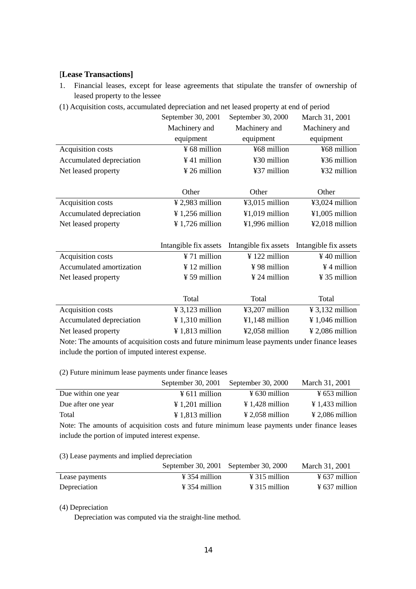## [**Lease Transactions]**

- 1. Financial leases, except for lease agreements that stipulate the transfer of ownership of leased property to the lessee
- (1) Acquisition costs, accumulated depreciation and net leased property at end of period

|                                                                                               | September 30, 2001<br>September 30, 2000 |                          | March 31, 2001              |  |  |  |
|-----------------------------------------------------------------------------------------------|------------------------------------------|--------------------------|-----------------------------|--|--|--|
|                                                                                               | Machinery and                            | Machinery and            | Machinery and               |  |  |  |
|                                                                                               | equipment                                | equipment                | equipment                   |  |  |  |
| Acquisition costs                                                                             | ¥ 68 million                             | ¥68 million              | ¥68 million                 |  |  |  |
| Accumulated depreciation                                                                      | $¥$ 41 million                           | ¥30 million              | ¥36 million                 |  |  |  |
| Net leased property                                                                           | ¥ 26 million                             | ¥37 million              | ¥32 million                 |  |  |  |
|                                                                                               |                                          |                          |                             |  |  |  |
|                                                                                               | Other                                    | Other                    | Other                       |  |  |  |
| Acquisition costs                                                                             | $\frac{1}{2}$ 2,983 million              | ¥3,015 million           | ¥3,024 million              |  |  |  |
| Accumulated depreciation                                                                      | ¥ 1,256 million                          | ¥1,019 million           | $¥1,005$ million            |  |  |  |
| Net leased property                                                                           | ¥ 1,726 million                          | ¥1,996 million           | ¥2,018 million              |  |  |  |
|                                                                                               |                                          |                          |                             |  |  |  |
|                                                                                               | Intangible fix assets                    | Intangible fix assets    | Intangible fix assets       |  |  |  |
| Acquisition costs                                                                             | ¥ 71 million                             | ¥ 122 million            | $\frac{1}{2}$ 40 million    |  |  |  |
| Accumulated amortization                                                                      | $\frac{1}{2}$ 12 million                 | ¥98 million              | ¥4 million                  |  |  |  |
| Net leased property                                                                           | $\frac{1}{2}$ 59 million                 | $\frac{1}{2}$ 24 million | ¥ 35 million                |  |  |  |
|                                                                                               |                                          |                          |                             |  |  |  |
|                                                                                               | Total                                    | Total                    | Total                       |  |  |  |
| Acquisition costs                                                                             | $\frac{1}{2}$ 3,123 million              | ¥3,207 million           | $\frac{1}{2}$ 3,132 million |  |  |  |
| Accumulated depreciation                                                                      | $\frac{1}{2}$ 1,310 million              | ¥1,148 million           | $\frac{1}{2}$ 1,046 million |  |  |  |
| Net leased property                                                                           | $¥ 1,813$ million                        | ¥2,058 million           | $\frac{1}{2}$ 2,086 million |  |  |  |
| Note: The amounts of acquisition costs and future minimum lease nayments under finance leases |                                          |                          |                             |  |  |  |

Note: The amounts of acquisition costs and future minimum lease payments under finance leases include the portion of imputed interest expense.

(2) Future minimum lease payments under finance leases

|                     | September 30, 2001          | September 30, 2000          | March 31, 2001              |
|---------------------|-----------------------------|-----------------------------|-----------------------------|
| Due within one year | $\frac{1}{2}$ 611 million   | $\frac{1}{2}$ 630 million   | $\frac{1}{2}$ 653 million   |
| Due after one year  | $\frac{1}{201}$ million     | $\angle 1.428$ million      | $\angle 1.433$ million      |
| Total               | $\frac{1}{2}$ 1,813 million | $\frac{1}{2}$ 2,058 million | $\frac{1}{2}$ 2,086 million |

Note: The amounts of acquisition costs and future minimum lease payments under finance leases include the portion of imputed interest expense.

(3) Lease payments and implied depreciation

|                |                           | September 30, 2001 September 30, 2000 | March 31, 2001            |
|----------------|---------------------------|---------------------------------------|---------------------------|
| Lease payments | $\frac{1}{2}$ 354 million | $\angle 315$ million                  | $\frac{1}{2}$ 637 million |
| Depreciation   | $\frac{1}{2}$ 354 million | $\angle 315$ million                  | $\frac{1}{2}$ 637 million |

(4) Depreciation

Depreciation was computed via the straight-line method.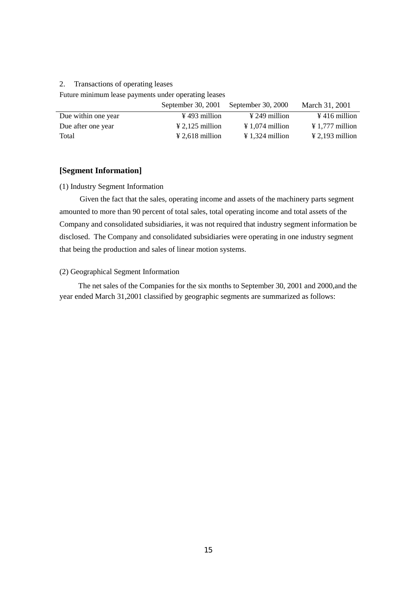## 2. Transactions of operating leases

Future minimum lease payments under operating leases

|                     | September 30, 2001        | September 30, 2000        | March 31, 2001              |
|---------------------|---------------------------|---------------------------|-----------------------------|
| Due within one year | $\frac{1}{2}$ 493 million | $\frac{1}{2}$ 249 million | $\frac{1}{2}$ 416 million   |
| Due after one year  | $\angle 2,125$ million    | $\angle 1.074$ million    | $\frac{1}{2}$ 1,777 million |
| Total               | $\angle 2,618$ million    | $\angle 1.324$ million    | $\frac{1}{2}$ 2,193 million |

### **[Segment Information]**

### (1) Industry Segment Information

 Given the fact that the sales, operating income and assets of the machinery parts segment amounted to more than 90 percent of total sales, total operating income and total assets of the Company and consolidated subsidiaries, it was not required that industry segment information be disclosed. The Company and consolidated subsidiaries were operating in one industry segment that being the production and sales of linear motion systems.

## (2) Geographical Segment Information

The net sales of the Companies for the six months to September 30, 2001 and 2000,and the year ended March 31,2001 classified by geographic segments are summarized as follows: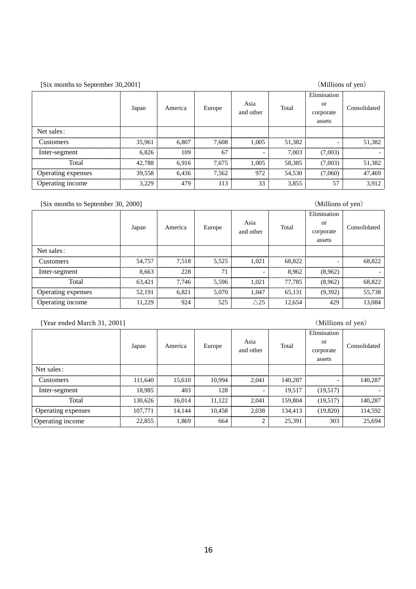| [Six months to September 30,2001] |        |         |        |                          |        | (Millions of yen)                        |              |
|-----------------------------------|--------|---------|--------|--------------------------|--------|------------------------------------------|--------------|
|                                   | Japan  | America | Europe | Asia<br>and other        | Total  | Elimination<br>or<br>corporate<br>assets | Consolidated |
| Net sales:                        |        |         |        |                          |        |                                          |              |
| <b>Customers</b>                  | 35.961 | 6.807   | 7.608  | 1.005                    | 51.382 |                                          | 51,382       |
| Inter-segment                     | 6.826  | 109     | 67     | $\overline{\phantom{0}}$ | 7.003  | (7,003)                                  |              |
| Total                             | 42.788 | 6.916   | 7.675  | 1.005                    | 58.385 | (7,003)                                  | 51,382       |
| Operating expenses                | 39,558 | 6,436   | 7.562  | 972                      | 54.530 | (7,060)                                  | 47,469       |
| Operating income                  | 3,229  | 479     | 113    | 33                       | 3,855  | 57                                       | 3,912        |

## [Six months to September 30, 2000] (Millions of yen)

|                    |        |         | Elimination |                          |        |           |              |
|--------------------|--------|---------|-------------|--------------------------|--------|-----------|--------------|
|                    | Japan  | America | Europe      | Asia                     | Total  | or        | Consolidated |
|                    |        |         |             | and other                |        | corporate |              |
|                    |        |         |             |                          |        | assets    |              |
| Net sales:         |        |         |             |                          |        |           |              |
| Customers          | 54,757 | 7,518   | 5.525       | 1.021                    | 68.822 |           | 68.822       |
| Inter-segment      | 8.663  | 228     | 71          | $\overline{\phantom{0}}$ | 8.962  | (8,962)   |              |
| Total              | 63.421 | 7.746   | 5.596       | 1.021                    | 77.785 | (8,962)   | 68.822       |
| Operating expenses | 52,191 | 6.821   | 5,070       | 1.047                    | 65,131 | (9,392)   | 55,738       |
| Operating income   | 11,229 | 924     | 525         | $\triangle$ 25           | 12,654 | 429       | 13,084       |

## [Year ended March 31, 2001] (Millions of yen)

|                    |         |         |        |           |         | Elimination              |              |
|--------------------|---------|---------|--------|-----------|---------|--------------------------|--------------|
|                    | Japan   | America | Europe | Asia      | Total   | or                       | Consolidated |
|                    |         |         |        | and other |         | corporate                |              |
|                    |         |         |        |           |         | assets                   |              |
| Net sales:         |         |         |        |           |         |                          |              |
| <b>Customers</b>   | 111.640 | 15,610  | 10.994 | 2,041     | 140,287 | $\overline{\phantom{0}}$ | 140,287      |
| Inter-segment      | 18,985  | 403     | 128    |           | 19.517  | (19,517)                 |              |
| Total              | 130,626 | 16,014  | 11,122 | 2.041     | 159,804 | (19,517)                 | 140,287      |
| Operating expenses | 107.771 | 14.144  | 10.458 | 2,038     | 134.413 | (19,820)                 | 114,592      |
| Operating income   | 22,855  | 1,869   | 664    |           | 25,391  | 303                      | 25,694       |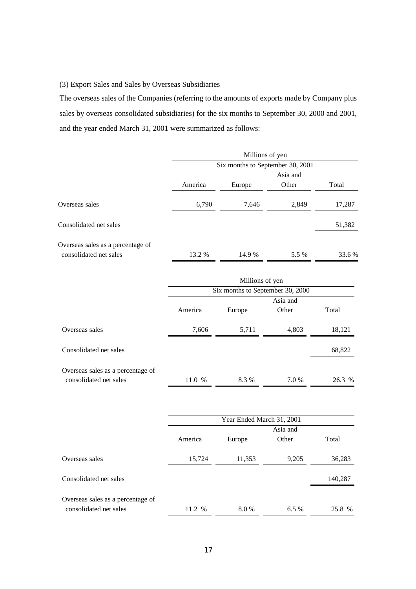## (3) Export Sales and Sales by Overseas Subsidiaries

The overseas sales of the Companies (referring to the amounts of exports made by Company plus sales by overseas consolidated subsidiaries) for the six months to September 30, 2000 and 2001, and the year ended March 31, 2001 were summarized as follows:

|                                   |                                  | Millions of yen                  |                   |         |  |
|-----------------------------------|----------------------------------|----------------------------------|-------------------|---------|--|
|                                   |                                  | Six months to September 30, 2001 |                   |         |  |
|                                   |                                  |                                  | Asia and          |         |  |
|                                   | America                          | Europe                           | Other             | Total   |  |
| Overseas sales                    | 6,790                            | 7,646                            | 2,849             | 17,287  |  |
| Consolidated net sales            |                                  |                                  |                   | 51,382  |  |
| Overseas sales as a percentage of |                                  |                                  |                   |         |  |
| consolidated net sales            | 13.2 %                           | 14.9%                            | 5.5 %             | 33.6%   |  |
|                                   |                                  | Millions of yen                  |                   |         |  |
|                                   | Six months to September 30, 2000 |                                  |                   |         |  |
|                                   |                                  |                                  | Asia and          |         |  |
|                                   | America                          | Europe                           | Other             | Total   |  |
| Overseas sales                    | 7,606                            | 5,711                            | 4,803             | 18,121  |  |
| Consolidated net sales            |                                  |                                  |                   | 68,822  |  |
| Overseas sales as a percentage of |                                  |                                  |                   |         |  |
| consolidated net sales            | 11.0 %                           | 8.3%                             | 7.0 %             | 26.3 %  |  |
|                                   |                                  |                                  |                   |         |  |
|                                   |                                  | Year Ended March 31, 2001        |                   |         |  |
|                                   | America                          | Europe                           | Asia and<br>Other | Total   |  |
| Overseas sales                    | 15,724                           | 11,353                           | 9,205             | 36,283  |  |
| Consolidated net sales            |                                  |                                  |                   | 140,287 |  |
| Overseas sales as a percentage of |                                  |                                  |                   |         |  |
| consolidated net sales            | 11.2 %                           | 8.0%                             | 6.5%              | 25.8 %  |  |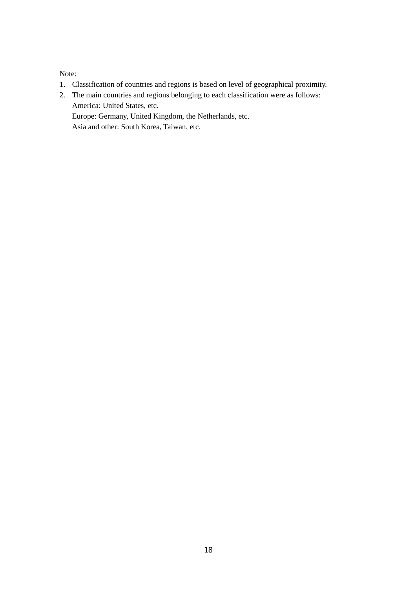Note:

- 1. Classification of countries and regions is based on level of geographical proximity.
- 2. The main countries and regions belonging to each classification were as follows: America: United States, etc. Europe: Germany, United Kingdom, the Netherlands, etc.

Asia and other: South Korea, Taiwan, etc.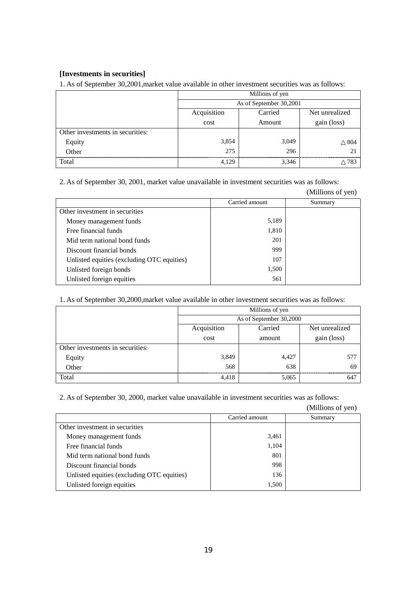## **[Investments in securities]**

1. As of September 30,2001,market value available in other investment securities was as follows:

|                                  | Millions of yen                          |       |     |  |  |  |
|----------------------------------|------------------------------------------|-------|-----|--|--|--|
|                                  | As of September 30,2001                  |       |     |  |  |  |
|                                  | Acquisition<br>Carried<br>Net unrealized |       |     |  |  |  |
|                                  | cost<br>gain (loss)<br>Amount            |       |     |  |  |  |
| Other investments in securities: |                                          |       |     |  |  |  |
| Equity<br>Other                  | 3,854                                    | 3,049 | 804 |  |  |  |
|                                  | 275                                      | 296   |     |  |  |  |
| Total                            | 4.129                                    | 3,346 | 783 |  |  |  |

2. As of September 30, 2001, market value unavailable in investment securities was as follows:

|                                            |                | (Millions of yen) |
|--------------------------------------------|----------------|-------------------|
|                                            | Carried amount | Summary           |
| Other investment in securities             |                |                   |
| Money management funds                     | 5,189          |                   |
| Free financial funds                       | 1,810          |                   |
| Mid term national bond funds               | 201            |                   |
| Discount financial bonds                   | 999            |                   |
| Unlisted equities (excluding OTC equities) | 107            |                   |
| Unlisted foreign bonds                     | 1,500          |                   |
| Unlisted foreign equities                  | 561            |                   |

1. As of September 30,2000,market value available in other investment securities was as follows:

|                                  | Millions of yen                          |       |     |  |  |  |
|----------------------------------|------------------------------------------|-------|-----|--|--|--|
|                                  | As of September 30,2000                  |       |     |  |  |  |
|                                  | Carried<br>Acquisition<br>Net unrealized |       |     |  |  |  |
|                                  | cost<br>gain (loss)<br>amount            |       |     |  |  |  |
| Other investments in securities: |                                          |       |     |  |  |  |
| Equity                           | 3,849                                    | 4,427 | 577 |  |  |  |
| Other                            | 568                                      | 638   | 69  |  |  |  |
| Total                            | 4.418                                    | 5,065 | 641 |  |  |  |

2. As of September 30, 2000, market value unavailable in investment securities was as follows:

(Millions of yen)

|                                            | Carried amount | Summary |
|--------------------------------------------|----------------|---------|
| Other investment in securities             |                |         |
| Money management funds                     | 3,461          |         |
| Free financial funds                       | 1,104          |         |
| Mid term national bond funds               | 801            |         |
| Discount financial bonds                   | 998            |         |
| Unlisted equities (excluding OTC equities) | 136            |         |
| Unlisted foreign equities                  | 1,500          |         |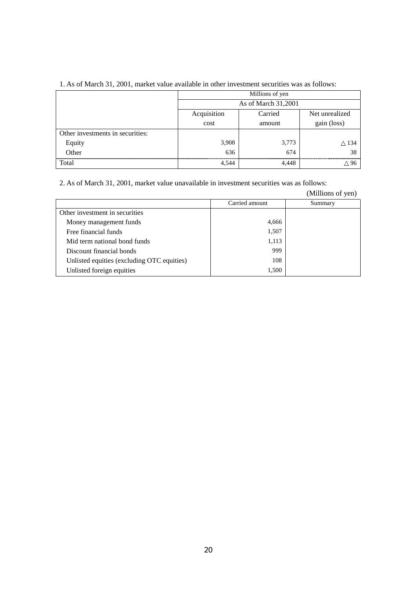|                                  | Millions of yen                          |        |             |  |  |  |  |
|----------------------------------|------------------------------------------|--------|-------------|--|--|--|--|
|                                  | As of March 31,2001                      |        |             |  |  |  |  |
|                                  | Acquisition<br>Net unrealized<br>Carried |        |             |  |  |  |  |
|                                  | cost                                     | amount | gain (loss) |  |  |  |  |
| Other investments in securities: |                                          |        |             |  |  |  |  |
| Equity                           | 3,908                                    | 3,773  | 134         |  |  |  |  |
| Other                            | 636                                      | 674    | 38          |  |  |  |  |
| Total                            | 4,544                                    | 4.448  |             |  |  |  |  |

## 1. As of March 31, 2001, market value available in other investment securities was as follows:

2. As of March 31, 2001, market value unavailable in investment securities was as follows:

(Millions of yen)

|                                            | Carried amount | Summary |
|--------------------------------------------|----------------|---------|
| Other investment in securities             |                |         |
| Money management funds                     | 4,666          |         |
| Free financial funds                       | 1,507          |         |
| Mid term national bond funds               | 1,113          |         |
| Discount financial bonds                   | 999            |         |
| Unlisted equities (excluding OTC equities) | 108            |         |
| Unlisted foreign equities                  | 1,500          |         |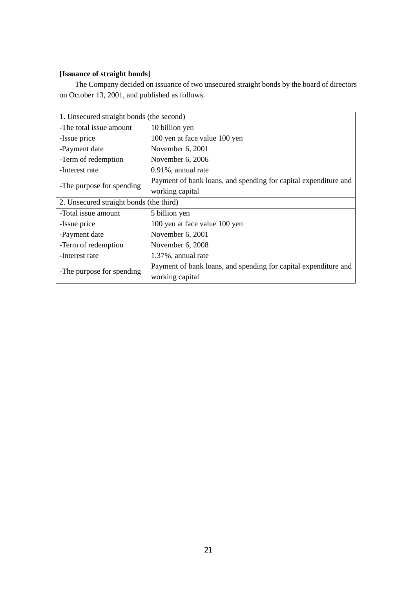## **[Issuance of straight bonds]**

The Company decided on issuance of two unsecured straight bonds by the board of directors on October 13, 2001, and published as follows.

| 1. Unsecured straight bonds (the second) |                                                                                    |  |  |  |
|------------------------------------------|------------------------------------------------------------------------------------|--|--|--|
| -The total issue amount                  | 10 billion yen                                                                     |  |  |  |
| -Issue price                             | 100 yen at face value 100 yen                                                      |  |  |  |
| -Payment date                            | November $6, 2001$                                                                 |  |  |  |
| -Term of redemption                      | November 6, 2006                                                                   |  |  |  |
| -Interest rate                           | $0.91\%$ , annual rate                                                             |  |  |  |
|                                          | Payment of bank loans, and spending for capital expenditure and                    |  |  |  |
| -The purpose for spending                | working capital                                                                    |  |  |  |
| 2. Unsecured straight bonds (the third)  |                                                                                    |  |  |  |
| -Total issue amount                      | 5 billion yen                                                                      |  |  |  |
| -Issue price                             | 100 yen at face value 100 yen                                                      |  |  |  |
| -Payment date                            | November $6, 2001$                                                                 |  |  |  |
| -Term of redemption                      | November 6, 2008                                                                   |  |  |  |
| -Interest rate                           | 1.37%, annual rate                                                                 |  |  |  |
| -The purpose for spending                | Payment of bank loans, and spending for capital expenditure and<br>working capital |  |  |  |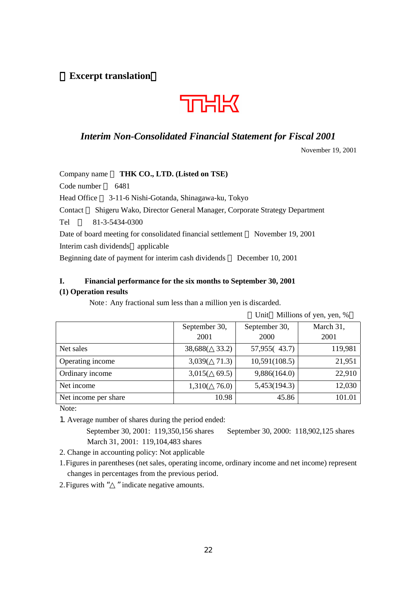**Excerpt translation**



## *Interim Non-Consolidated Financial Statement for Fiscal 2001*

November 19, 2001

| THK CO., LTD. (Listed on TSE)<br>Company name                                    |
|----------------------------------------------------------------------------------|
| Code number<br>6481                                                              |
| 3-11-6 Nishi-Gotanda, Shinagawa-ku, Tokyo<br>Head Office                         |
| Shigeru Wako, Director General Manager, Corporate Strategy Department<br>Contact |
| 81-3-5434-0300<br>Tel                                                            |
| November 19, 2001<br>Date of board meeting for consolidated financial settlement |
| Interim cash dividends<br>applicable                                             |
| Beginning date of payment for interim cash dividends<br>December 10, 2001        |

# **I. Financial performance for the six months to September 30, 2001**

## **(1) Operation results**

Note: Any fractional sum less than a million yen is discarded.

|                      | Unit Millions of yen, yen, % |               |           |  |  |  |
|----------------------|------------------------------|---------------|-----------|--|--|--|
|                      | September 30,                | September 30, | March 31, |  |  |  |
|                      | 2001                         | <b>2000</b>   | 2001      |  |  |  |
| Net sales            | 33.2)<br>38,688              | 57,955(43.7)  | 119,981   |  |  |  |
| Operating income     | 71.3)<br>3,039(              | 10,591(108.5) | 21,951    |  |  |  |
| Ordinary income      | 69.5)<br>3,015(              | 9,886(164.0)  | 22,910    |  |  |  |
| Net income           | 76.0<br>1,310                | 5,453(194.3)  | 12,030    |  |  |  |
| Net income per share | 10.98                        | 45.86         | 101.01    |  |  |  |

Note:

1. Average number of shares during the period ended:

September 30, 2001: 119,350,156 shares September 30, 2000: 118,902,125 shares March 31, 2001: 119,104,483 shares

2. Change in accounting policy: Not applicable

1. Figures in parentheses (net sales, operating income, ordinary income and net income) represent changes in percentages from the previous period.

2. Figures with " " indicate negative amounts.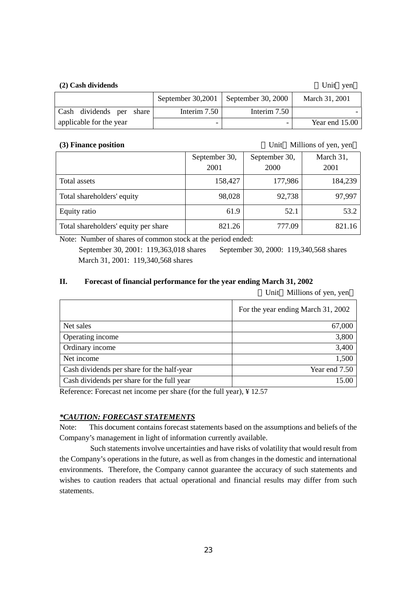## **(2) Cash dividends** Unit yen

|                          |  |              | September 30,2001   September 30, 2000 | March 31, 2001   |
|--------------------------|--|--------------|----------------------------------------|------------------|
| Cash dividends per share |  | Interim 7.50 | Interim 7.50                           |                  |
| applicable for the year  |  |              |                                        | Year end $15.00$ |

**(3) Finance position** Unit Millions of yen, yen

|                                      | September 30, | September 30, | March 31, |
|--------------------------------------|---------------|---------------|-----------|
|                                      | 2001          | 2000          | 2001      |
| Total assets                         | 158,427       | 177,986       | 184,239   |
| Total shareholders' equity           | 98,028        | 92,738        | 97,997    |
| Equity ratio                         | 61.9          | 52.1          | 53.2      |
| Total shareholders' equity per share | 821.26        | 777.09        | 821.16    |

Note: Number of shares of common stock at the period ended: September 30, 2001: 119,363,018 shares September 30, 2000: 119,340,568 shares March 31, 2001: 119,340,568 shares

## **II. Forecast of financial performance for the year ending March 31, 2002**

Unit Millions of yen, yen

|                                            | For the year ending March 31, 2002 |
|--------------------------------------------|------------------------------------|
| Net sales                                  | 67,000                             |
| Operating income                           | 3,800                              |
| Ordinary income                            | 3,400                              |
| Net income                                 | 1,500                              |
| Cash dividends per share for the half-year | Year end 7.50                      |
| Cash dividends per share for the full year | 15.00                              |

Reference: Forecast net income per share (for the full year), ¥ 12.57

## *\*CAUTION: FORECAST STATEMENTS*

Note: This document contains forecast statements based on the assumptions and beliefs of the Company's management in light of information currently available.

Such statements involve uncertainties and have risks of volatility that would result from the Company's operations in the future, as well as from changes in the domestic and international environments. Therefore, the Company cannot guarantee the accuracy of such statements and wishes to caution readers that actual operational and financial results may differ from such statements.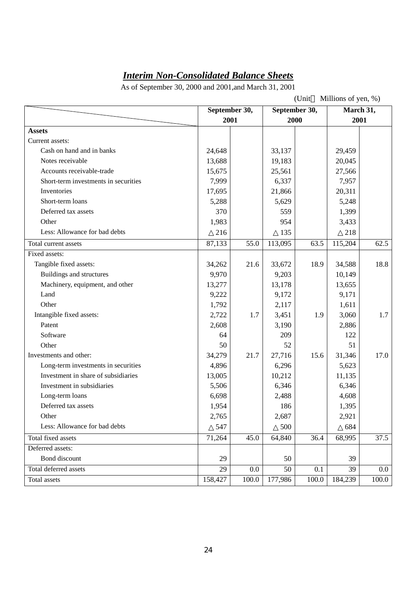# *Interim Non-Consolidated Balance Sheets*

As of September 30, 2000 and 2001,and March 31, 2001

|                                      | Millions of yen, %)<br>(Unit |       |         |               |         |           |
|--------------------------------------|------------------------------|-------|---------|---------------|---------|-----------|
|                                      | September 30,                |       |         | September 30, |         | March 31, |
|                                      | 2001                         |       | 2000    |               |         | 2001      |
| <b>Assets</b>                        |                              |       |         |               |         |           |
| Current assets:                      |                              |       |         |               |         |           |
| Cash on hand and in banks            | 24,648                       |       | 33,137  |               | 29,459  |           |
| Notes receivable                     | 13,688                       |       | 19,183  |               | 20,045  |           |
| Accounts receivable-trade            | 15,675                       |       | 25,561  |               | 27,566  |           |
| Short-term investments in securities | 7,999                        |       | 6,337   |               | 7,957   |           |
| Inventories                          | 17,695                       |       | 21,866  |               | 20,311  |           |
| Short-term loans                     | 5,288                        |       | 5,629   |               | 5,248   |           |
| Deferred tax assets                  | 370                          |       | 559     |               | 1,399   |           |
| Other                                | 1,983                        |       | 954     |               | 3,433   |           |
| Less: Allowance for bad debts        | 216                          |       | 135     |               | 218     |           |
| Total current assets                 | 87,133                       | 55.0  | 113,095 | 63.5          | 115,204 | 62.5      |
| Fixed assets:                        |                              |       |         |               |         |           |
| Tangible fixed assets:               | 34,262                       | 21.6  | 33,672  | 18.9          | 34,588  | 18.8      |
| Buildings and structures             | 9,970                        |       | 9,203   |               | 10,149  |           |
| Machinery, equipment, and other      | 13,277                       |       | 13,178  |               | 13,655  |           |
| Land                                 | 9,222                        |       | 9,172   |               | 9,171   |           |
| Other                                | 1,792                        |       | 2,117   |               | 1,611   |           |
| Intangible fixed assets:             | 2,722                        | 1.7   | 3,451   | 1.9           | 3,060   | 1.7       |
| Patent                               | 2,608                        |       | 3,190   |               | 2,886   |           |
| Software                             | 64                           |       | 209     |               | 122     |           |
| Other                                | 50                           |       | 52      |               | 51      |           |
| Investments and other:               | 34,279                       | 21.7  | 27,716  | 15.6          | 31,346  | 17.0      |
| Long-term investments in securities  | 4,896                        |       | 6,296   |               | 5,623   |           |
| Investment in share of subsidiaries  | 13,005                       |       | 10,212  |               | 11,135  |           |
| Investment in subsidiaries           | 5,506                        |       | 6,346   |               | 6,346   |           |
| Long-term loans                      | 6,698                        |       | 2,488   |               | 4,608   |           |
| Deferred tax assets                  | 1,954                        |       | 186     |               | 1,395   |           |
| Other                                | 2,765                        |       | 2,687   |               | 2,921   |           |
| Less: Allowance for bad debts        | 547                          |       | 500     |               | 684     |           |
| Total fixed assets                   | 71,264                       | 45.0  | 64,840  | 36.4          | 68,995  | 37.5      |
| Deferred assets:                     |                              |       |         |               |         |           |
| Bond discount                        | 29                           |       | 50      |               | 39      |           |
| Total deferred assets                | 29                           | 0.0   | 50      | 0.1           | 39      | 0.0       |
| Total assets                         | 158,427                      | 100.0 | 177,986 | 100.0         | 184,239 | 100.0     |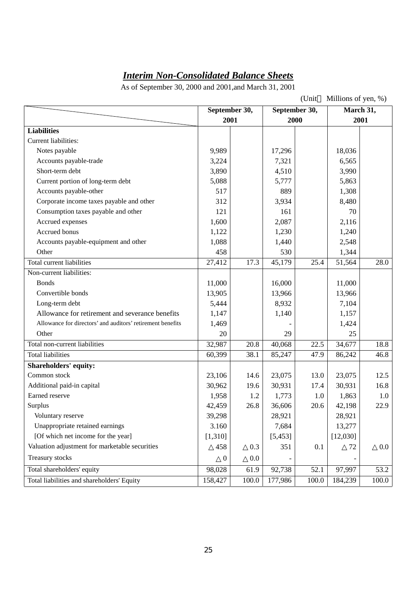# *Interim Non-Consolidated Balance Sheets*

As of September 30, 2000 and 2001,and March 31, 2001

|                                                            | Millions of yen, %)<br>(Unit   |       |          |                   |           |         |
|------------------------------------------------------------|--------------------------------|-------|----------|-------------------|-----------|---------|
|                                                            | September 30,<br>September 30, |       |          |                   | March 31, |         |
|                                                            | 2001                           |       | 2000     |                   |           | 2001    |
| <b>Liabilities</b>                                         |                                |       |          |                   |           |         |
| Current liabilities:                                       |                                |       |          |                   |           |         |
| Notes payable                                              | 9,989                          |       | 17,296   |                   | 18,036    |         |
| Accounts payable-trade                                     | 3,224                          |       | 7,321    |                   | 6,565     |         |
| Short-term debt                                            | 3,890                          |       | 4,510    |                   | 3,990     |         |
| Current portion of long-term debt                          | 5,088                          |       | 5,777    |                   | 5,863     |         |
| Accounts payable-other                                     | 517                            |       | 889      |                   | 1,308     |         |
| Corporate income taxes payable and other                   | 312                            |       | 3,934    |                   | 8,480     |         |
| Consumption taxes payable and other                        | 121                            |       | 161      |                   | 70        |         |
| Accrued expenses                                           | 1,600                          |       | 2,087    |                   | 2,116     |         |
| Accrued bonus                                              | 1,122                          |       | 1,230    |                   | 1,240     |         |
| Accounts payable-equipment and other                       | 1,088                          |       | 1,440    |                   | 2,548     |         |
| Other                                                      | 458                            |       | 530      |                   | 1,344     |         |
| <b>Total current liabilities</b>                           | 27,412                         | 17.3  | 45,179   | 25.4              | 51,564    | 28.0    |
| Non-current liabilities:                                   |                                |       |          |                   |           |         |
| <b>Bonds</b>                                               | 11,000                         |       | 16,000   |                   | 11,000    |         |
| Convertible bonds                                          | 13,905                         |       | 13,966   |                   | 13,966    |         |
| Long-term debt                                             | 5,444                          |       | 8,932    |                   | 7,104     |         |
| Allowance for retirement and severance benefits            | 1,147                          |       | 1,140    |                   | 1,157     |         |
| Allowance for directors' and auditors' retirement benefits | 1,469                          |       |          |                   | 1,424     |         |
| Other                                                      | 20                             |       | 29       |                   | 25        |         |
| Total non-current liabilities                              | 32,987                         | 20.8  | 40,068   | $\overline{22.5}$ | 34,677    | 18.8    |
| <b>Total liabilities</b>                                   | 60,399                         | 38.1  | 85,247   | 47.9              | 86,242    | 46.8    |
| <b>Shareholders' equity:</b>                               |                                |       |          |                   |           |         |
| Common stock                                               | 23,106                         | 14.6  | 23,075   | 13.0              | 23,075    | 12.5    |
| Additional paid-in capital                                 | 30,962                         | 19.6  | 30,931   | 17.4              | 30,931    | 16.8    |
| Earned reserve                                             | 1,958                          | 1.2   | 1,773    | 1.0               | 1,863     | $1.0\,$ |
| Surplus                                                    | 42,459                         | 26.8  | 36,606   | 20.6              | 42,198    | 22.9    |
| Voluntary reserve                                          | 39,298                         |       | 28,921   |                   | 28,921    |         |
| Unappropriate retained earnings                            | 3.160                          |       | 7,684    |                   | 13,277    |         |
| [Of which net income for the year]                         | [1,310]                        |       | [5, 453] |                   | [12,030]  |         |
| Valuation adjustment for marketable securities             | 458                            | 0.3   | 351      | 0.1               | 72        | 0.0     |
| Treasury stocks                                            | $\boldsymbol{0}$               | 0.0   |          |                   |           |         |
| Total shareholders' equity                                 | 98,028                         | 61.9  | 92,738   | 52.1              | 97,997    | 53.2    |
| Total liabilities and shareholders' Equity                 | 158,427                        | 100.0 | 177,986  | 100.0             | 184,239   | 100.0   |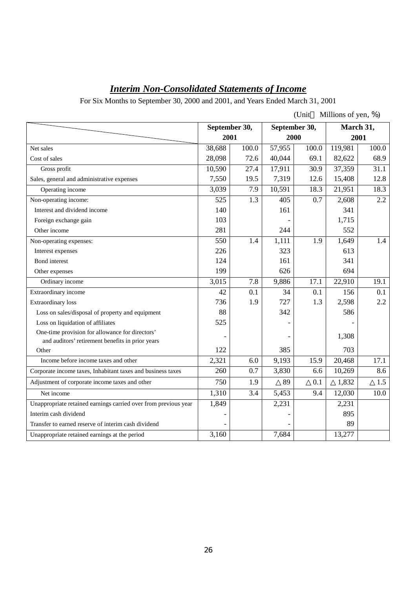# *Interim Non-Consolidated Statements of Income*

For Six Months to September 30, 2000 and 2001, and Years Ended March 31, 2001

|                                                                                                     |               |       |               | $U$ nit | Millions of yen, %) |       |
|-----------------------------------------------------------------------------------------------------|---------------|-------|---------------|---------|---------------------|-------|
|                                                                                                     | September 30, |       | September 30, |         | March 31,           |       |
|                                                                                                     | 2001          |       | 2000          |         |                     | 2001  |
| Net sales                                                                                           | 38,688        | 100.0 | 57,955        | 100.0   | 119,981             | 100.0 |
| Cost of sales                                                                                       | 28,098        | 72.6  | 40,044        | 69.1    | 82,622              | 68.9  |
| Gross profit                                                                                        | 10,590        | 27.4  | 17,911        | 30.9    | 37,359              | 31.1  |
| Sales, general and administrative expenses                                                          | 7,550         | 19.5  | 7,319         | 12.6    | 15,408              | 12.8  |
| Operating income                                                                                    | 3,039         | 7.9   | 10,591        | 18.3    | 21,951              | 18.3  |
| Non-operating income:                                                                               | 525           | 1.3   | 405           | 0.7     | 2,608               | 2.2   |
| Interest and dividend income                                                                        | 140           |       | 161           |         | 341                 |       |
| Foreign exchange gain                                                                               | 103           |       |               |         | 1,715               |       |
| Other income                                                                                        | 281           |       | 244           |         | 552                 |       |
| Non-operating expenses:                                                                             | 550           | 1.4   | 1,111         | 1.9     | 1,649               | 1.4   |
| Interest expenses                                                                                   | 226           |       | 323           |         | 613                 |       |
| <b>Bond</b> interest                                                                                | 124           |       | 161           |         | 341                 |       |
| Other expenses                                                                                      | 199           |       | 626           |         | 694                 |       |
| Ordinary income                                                                                     | 3,015         | 7.8   | 9,886         | 17.1    | 22,910              | 19.1  |
| Extraordinary income                                                                                | 42            | 0.1   | 34            | 0.1     | 156                 | 0.1   |
| <b>Extraordinary</b> loss                                                                           | 736           | 1.9   | 727           | 1.3     | 2,598               | 2.2   |
| Loss on sales/disposal of property and equipment                                                    | 88            |       | 342           |         | 586                 |       |
| Loss on liquidation of affiliates                                                                   | 525           |       |               |         |                     |       |
| One-time provision for allowance for directors'<br>and auditors' retirement benefits in prior years |               |       |               |         | 1,308               |       |
| Other                                                                                               | 122           |       | 385           |         | 703                 |       |
| Income before income taxes and other                                                                | 2,321         | 6.0   | 9,193         | 15.9    | 20,468              | 17.1  |
| Corporate income taxes, Inhabitant taxes and business taxes                                         | 260           | 0.7   | 3,830         | 6.6     | 10,269              | 8.6   |
| Adjustment of corporate income taxes and other                                                      | 750           | 1.9   | 89            | 0.1     | 1,832               | 1.5   |
| Net income                                                                                          | 1,310         | 3.4   | 5,453         | 9.4     | 12,030              | 10.0  |
| Unappropriate retained earnings carried over from previous year                                     | 1,849         |       | 2,231         |         | 2,231               |       |
| Interim cash dividend                                                                               |               |       |               |         | 895                 |       |
| Transfer to earned reserve of interim cash dividend                                                 |               |       |               |         | 89                  |       |
| Unappropriate retained earnings at the period                                                       | 3,160         |       | 7,684         |         | 13,277              |       |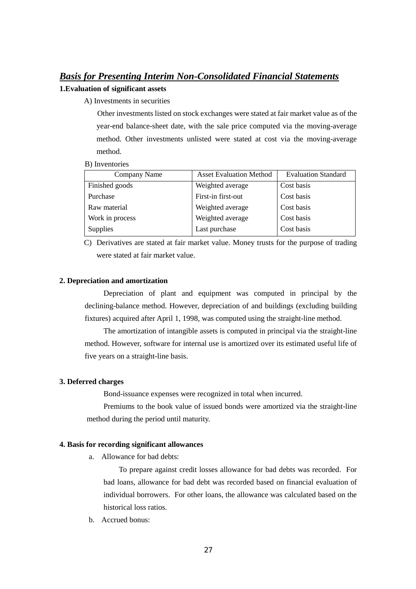## *Basis for Presenting Interim Non-Consolidated Financial Statements*

## **1.Evaluation of significant assets**

A) Investments in securities

Other investments listed on stock exchanges were stated at fair market value as of the year-end balance-sheet date, with the sale price computed via the moving-average method. Other investments unlisted were stated at cost via the moving-average method.

B) Inventories

| Company Name    | <b>Asset Evaluation Method</b> | <b>Evaluation Standard</b> |
|-----------------|--------------------------------|----------------------------|
| Finished goods  | Weighted average               | Cost basis                 |
| Purchase        | First-in first-out             | Cost basis                 |
| Raw material    | Weighted average               | Cost basis                 |
| Work in process | Weighted average               | Cost basis                 |
| <b>Supplies</b> | Last purchase                  | Cost basis                 |

C) Derivatives are stated at fair market value. Money trusts for the purpose of trading were stated at fair market value.

## **2. Depreciation and amortization**

Depreciation of plant and equipment was computed in principal by the declining-balance method. However, depreciation of and buildings (excluding building fixtures) acquired after April 1, 1998, was computed using the straight-line method.

The amortization of intangible assets is computed in principal via the straight-line method. However, software for internal use is amortized over its estimated useful life of five years on a straight-line basis.

## **3. Deferred charges**

Bond-issuance expenses were recognized in total when incurred.

Premiums to the book value of issued bonds were amortized via the straight-line method during the period until maturity.

## **4. Basis for recording significant allowances**

a. Allowance for bad debts:

To prepare against credit losses allowance for bad debts was recorded. For bad loans, allowance for bad debt was recorded based on financial evaluation of individual borrowers. For other loans, the allowance was calculated based on the historical loss ratios.

b. Accrued bonus: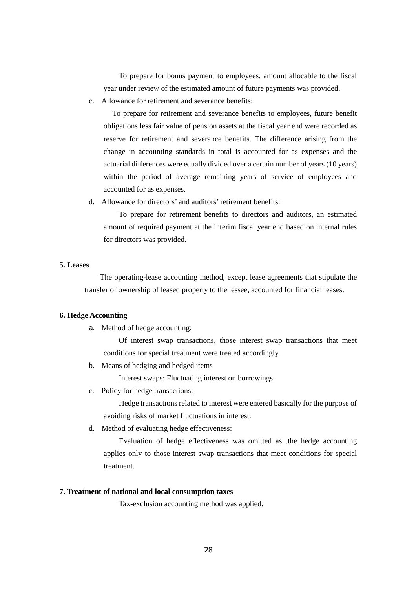To prepare for bonus payment to employees, amount allocable to the fiscal year under review of the estimated amount of future payments was provided.

c. Allowance for retirement and severance benefits:

To prepare for retirement and severance benefits to employees, future benefit obligations less fair value of pension assets at the fiscal year end were recorded as reserve for retirement and severance benefits. The difference arising from the change in accounting standards in total is accounted for as expenses and the actuarial differences were equally divided over a certain number of years (10 years) within the period of average remaining years of service of employees and accounted for as expenses.

d. Allowance for directors' and auditors' retirement benefits:

To prepare for retirement benefits to directors and auditors, an estimated amount of required payment at the interim fiscal year end based on internal rules for directors was provided.

### **5. Leases**

The operating-lease accounting method, except lease agreements that stipulate the transfer of ownership of leased property to the lessee, accounted for financial leases.

### **6. Hedge Accounting**

a. Method of hedge accounting:

Of interest swap transactions, those interest swap transactions that meet conditions for special treatment were treated accordingly.

b. Means of hedging and hedged items

Interest swaps: Fluctuating interest on borrowings.

c. Policy for hedge transactions:

Hedge transactions related to interest were entered basically for the purpose of avoiding risks of market fluctuations in interest.

d. Method of evaluating hedge effectiveness:

Evaluation of hedge effectiveness was omitted as .the hedge accounting applies only to those interest swap transactions that meet conditions for special treatment.

### **7. Treatment of national and local consumption taxes**

Tax-exclusion accounting method was applied.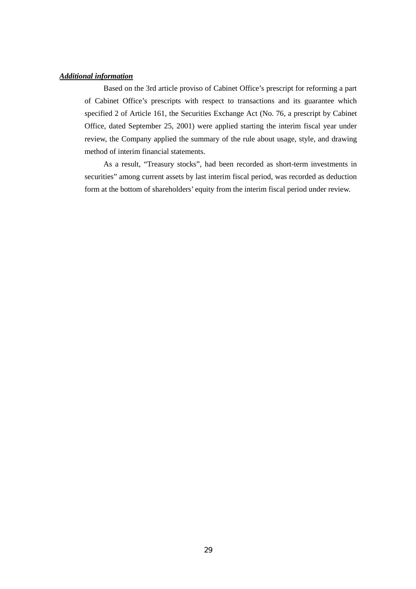## *Additional information*

Based on the 3rd article proviso of Cabinet Office's prescript for reforming a part of Cabinet Office's prescripts with respect to transactions and its guarantee which specified 2 of Article 161, the Securities Exchange Act (No. 76, a prescript by Cabinet Office, dated September 25, 2001) were applied starting the interim fiscal year under review, the Company applied the summary of the rule about usage, style, and drawing method of interim financial statements.

As a result, "Treasury stocks", had been recorded as short-term investments in securities" among current assets by last interim fiscal period, was recorded as deduction form at the bottom of shareholders' equity from the interim fiscal period under review.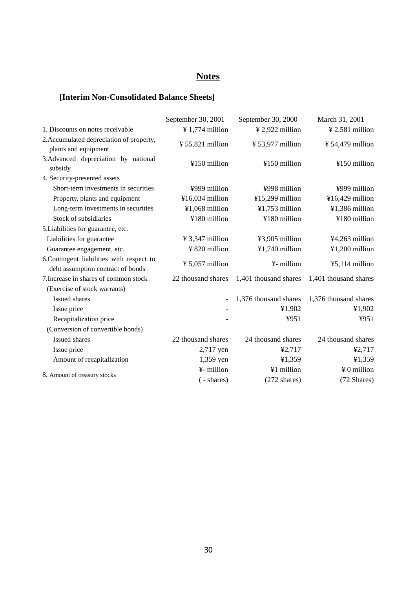# **Notes**

## **[Interim Non-Consolidated Balance Sheets]**

|                                                                               | September 30, 2001          | September 30, 2000     | March 31, 2001               |
|-------------------------------------------------------------------------------|-----------------------------|------------------------|------------------------------|
| 1. Discounts on notes receivable                                              | $\frac{1}{2}$ 1,774 million | ¥ 2,922 million        | $¥ 2,581$ million            |
| 2. Accumulated depreciation of property,<br>plants and equipment              | ¥ 55,821 million            | ¥ 53,977 million       | $\frac{1}{2}$ 54,479 million |
| 3.Advanced depreciation by national<br>subsidy                                | ¥150 million                | ¥150 million           | ¥150 million                 |
| 4. Security-presented assets                                                  |                             |                        |                              |
| Short-term investments in securities                                          | ¥999 million                | ¥998 million           | ¥999 million                 |
| Property, plants and equipment                                                | ¥16,034 million             | ¥15,299 million        | ¥16,429 million              |
| Long-term investments in securities                                           | ¥1,068 million              | $¥1,753$ million       | ¥1,386 million               |
| Stock of subsidiaries                                                         | ¥180 million                | ¥180 million           | ¥180 million                 |
| 5. Liabilities for guarantee, etc.                                            |                             |                        |                              |
| Liabilities for guarantee                                                     | $\frac{1}{2}$ 3,347 million | ¥3,905 million         | ¥4,263 million               |
| Guarantee engagement, etc.                                                    | ¥ 820 million               | ¥1,740 million         | $¥1,200$ million             |
| 6.Contingent liabilities with respect to<br>debt assumption contract of bonds | $\frac{1}{2}$ 5,057 million | ¥- million             | $45,114$ million             |
| 7. Increase in shares of common stock                                         | 22 thousand shares          | 1,401 thousand shares  | 1,401 thousand shares        |
| (Exercise of stock warrants)                                                  |                             |                        |                              |
| <b>Issued shares</b>                                                          | $\overline{a}$              | 1,376 thousand shares  | 1,376 thousand shares        |
| Issue price                                                                   |                             | ¥1,902                 | ¥1,902                       |
| Recapitalization price                                                        |                             | ¥951                   | ¥951                         |
| (Conversion of convertible bonds)                                             |                             |                        |                              |
| Issued shares                                                                 | 22 thousand shares          | 24 thousand shares     | 24 thousand shares           |
| Issue price                                                                   | 2,717 yen                   | ¥2,717                 | 42,717                       |
| Amount of recapitalization                                                    | 1,359 yen                   | ¥1,359                 | ¥1,359                       |
|                                                                               | ¥- million                  | ¥1 million             | ¥ 0 million                  |
| 8. Amount of treasury stocks                                                  | ( - shares)                 | $(272 \text{ shares})$ | (72 Shares)                  |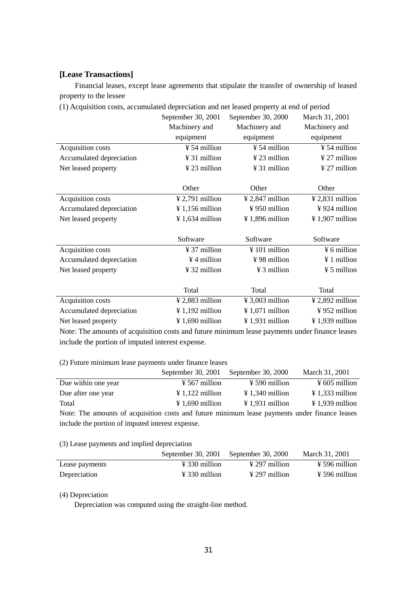## [**Lease Transactions]**

Financial leases, except lease agreements that stipulate the transfer of ownership of leased property to the lessee

| (1) Acquisition costs, accumulated depreciation and net leased property at end of period |                |
|------------------------------------------------------------------------------------------|----------------|
| September 30, 2001 September 30, 2000                                                    | March 31, 2001 |

|                          | $\mathsf{S}\mathsf{C}\mathsf{P}\mathsf{C}\mathsf{C}\mathsf{H}\mathsf{D}\mathsf{C}\mathsf{C}\mathsf{C}\mathsf{C}\mathsf{C}$ | $\omega \nu \nu \nu \mu \nu \nu \nu$ | IVIAIUI JI, $\angle 001$      |
|--------------------------|----------------------------------------------------------------------------------------------------------------------------|--------------------------------------|-------------------------------|
|                          | Machinery and                                                                                                              | Machinery and                        | Machinery and                 |
|                          | equipment                                                                                                                  | equipment                            | equipment                     |
| Acquisition costs        | $\frac{1}{2}$ 54 million                                                                                                   | ¥ 54 million                         | $\frac{1}{2}$ 54 million      |
| Accumulated depreciation | ¥ 31 million                                                                                                               | $\frac{1}{2}$ 23 million             | $\frac{1}{27}$ million        |
| Net leased property      | $\frac{1}{2}$ 23 million                                                                                                   | ¥ 31 million                         | ¥ 27 million                  |
|                          |                                                                                                                            |                                      |                               |
|                          | Other                                                                                                                      | Other                                | Other                         |
| Acquisition costs        | $\frac{1}{2}$ ,791 million                                                                                                 | $\frac{1}{2}$ , 2,847 million        | $\frac{1}{2}$ ,831 million    |
| Accumulated depreciation | $\frac{1}{2}$ 1,156 million                                                                                                | $\frac{1}{2}$ 950 million            | $\frac{1}{2}$ 924 million     |
| Net leased property      | $\frac{1}{2}$ 1,634 million                                                                                                | ¥ 1,896 million                      | ¥ 1,907 million               |
|                          |                                                                                                                            |                                      |                               |
|                          | Software                                                                                                                   | Software                             | Software                      |
| Acquisition costs        | $\frac{1}{2}$ 37 million                                                                                                   | $\frac{1}{2}$ 101 million            | $\frac{1}{2}$ 6 million       |
| Accumulated depreciation | $\frac{1}{2}$ 4 million                                                                                                    | ¥98 million                          | ¥ 1 million                   |
| Net leased property      | ¥ 32 million                                                                                                               | $\frac{1}{2}$ 3 million              | $\frac{1}{2}$ 5 million       |
|                          |                                                                                                                            |                                      |                               |
|                          | Total                                                                                                                      | Total                                | Total                         |
| Acquisition costs        | $¥ 2,883$ million                                                                                                          | $\frac{1}{2}$ 3,003 million          | $\frac{1}{2}$ , 2,892 million |
| Accumulated depreciation | $\frac{1}{2}$ 1,192 million                                                                                                | $\frac{1}{2}$ 1,071 million          | ¥952 million                  |
|                          |                                                                                                                            |                                      |                               |
| Net leased property      | $\frac{1}{2}$ 1,690 million                                                                                                | $\frac{1}{2}$ 1,931 million          | $\frac{1}{2}$ 1,939 million   |

Note: The amounts of acquisition costs and future minimum lease payments under finance leases include the portion of imputed interest expense.

(2) Future minimum lease payments under finance leases

|                     | September 30, 2001        | September 30, 2000          | March 31, 2001              |
|---------------------|---------------------------|-----------------------------|-----------------------------|
| Due within one year | $\frac{1}{2}$ 567 million | $\frac{1}{2}$ 590 million   | $\frac{1}{2}$ 605 million   |
| Due after one year  | $\angle 1,122$ million    | $\angle 1.340$ million      | $\frac{1}{2}$ 1,333 million |
| Total               | $\angle 1.690$ million    | $\frac{1}{2}$ 1,931 million | $\frac{1}{2}$ 1,939 million |

Note: The amounts of acquisition costs and future minimum lease payments under finance leases include the portion of imputed interest expense.

### (3) Lease payments and implied depreciation

|                | September 30, 2001 September 30, 2000 |                      | March 31, 2001            |
|----------------|---------------------------------------|----------------------|---------------------------|
| Lease payments | $\angle 330$ million                  | $\angle 297$ million | $\frac{1}{2}$ 596 million |
| Depreciation   | $\angle 330$ million                  | $\angle 297$ million | $\frac{1}{2}$ 596 million |

## (4) Depreciation

Depreciation was computed using the straight-line method.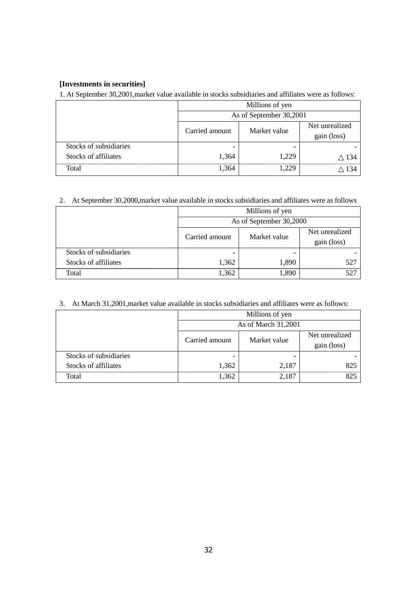## **[Investments in securities]**

1. At September 30,2001,market value available in stocks subsidiaries and affiliates were as follows:

|                        | Millions of yen         |              |                               |
|------------------------|-------------------------|--------------|-------------------------------|
|                        | As of September 30,2001 |              |                               |
|                        | Carried amount          | Market value | Net unrealized<br>gain (loss) |
| Stocks of subsidiaries |                         |              |                               |
| Stocks of affiliates   | 1,364                   | 1.229        | 134                           |
| Total                  | 1.364                   |              |                               |

2. At September 30,2000,market value available in stocks subsidiaries and affiliates were as follows

|                        | Millions of yen |                         |                               |  |
|------------------------|-----------------|-------------------------|-------------------------------|--|
|                        |                 | As of September 30,2000 |                               |  |
|                        | Carried amount  | Market value            | Net unrealized<br>gain (loss) |  |
| Stocks of subsidiaries |                 |                         |                               |  |
| Stocks of affiliates   | 1,362           | 1.890                   | 527                           |  |
| Total                  | 1,362           | 1890                    |                               |  |

| 3. At March 31,2001, market value available in stocks subsidiaries and affiliates were as follows: |
|----------------------------------------------------------------------------------------------------|
|----------------------------------------------------------------------------------------------------|

|                        | Millions of yen     |              |                |
|------------------------|---------------------|--------------|----------------|
|                        | As of March 31,2001 |              |                |
|                        | Carried amount      | Market value | Net unrealized |
|                        |                     |              | gain (loss)    |
| Stocks of subsidiaries |                     | -            |                |
| Stocks of affiliates   | 1,362               | 2.187        | 825            |
| Total                  | .362                |              |                |